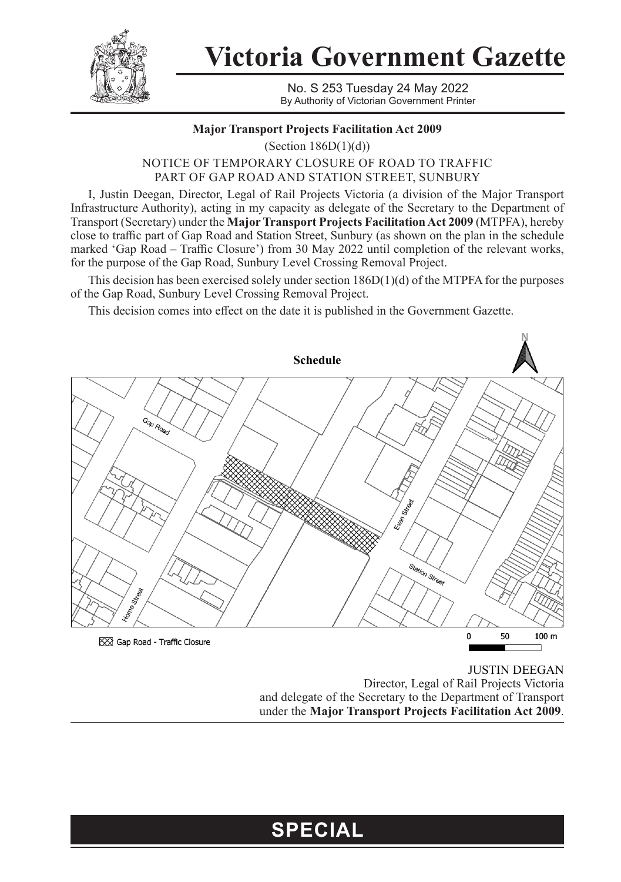

**Victoria Government Gazette**

No. S 253 Tuesday 24 May 2022 By Authority of Victorian Government Printer

## **Major Transport Projects Facilitation Act 2009**

(Section  $186D(1)(d)$ )

NOTICE OF TEMPORARY CLOSURE OF ROAD TO TRAFFIC PART OF GAP ROAD AND STATION STREET, SUNBURY

I, Justin Deegan, Director, Legal of Rail Projects Victoria (a division of the Major Transport Infrastructure Authority), acting in my capacity as delegate of the Secretary to the Department of Transport (Secretary) under the **Major Transport Projects Facilitation Act 2009** (MTPFA), hereby close to traffic part of Gap Road and Station Street, Sunbury (as shown on the plan in the schedule marked 'Gap Road – Traffic Closure') from 30 May 2022 until completion of the relevant works, for the purpose of the Gap Road, Sunbury Level Crossing Removal Project.

This decision has been exercised solely under section  $186D(1)(d)$  of the MTPFA for the purposes of the Gap Road, Sunbury Level Crossing Removal Project.

This decision comes into effect on the date it is published in the Government Gazette.



JUSTIN DEEGAN Director, Legal of Rail Projects Victoria and delegate of the Secretary to the Department of Transport under the **Major Transport Projects Facilitation Act 2009**.

## **SPECIAL**